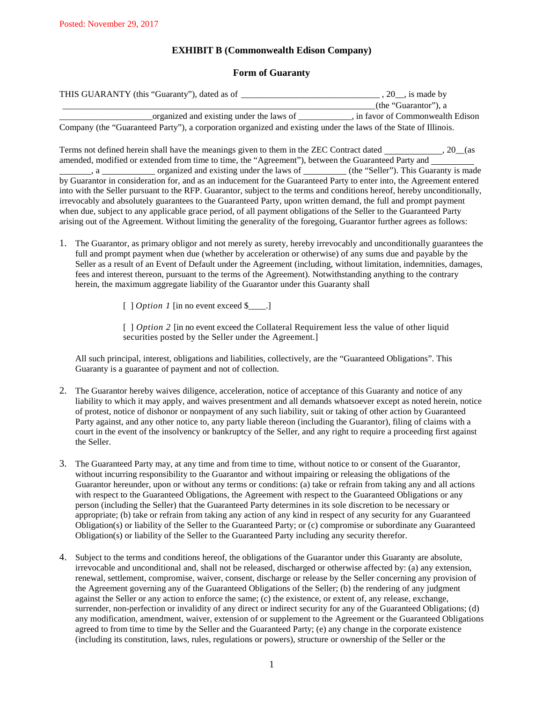## **EXHIBIT B (Commonwealth Edison Company)**

## **Form of Guaranty**

| THIS GUARANTY (this "Guaranty"), dated as of                                                                    | $, 20$ , is made by               |  |  |
|-----------------------------------------------------------------------------------------------------------------|-----------------------------------|--|--|
|                                                                                                                 | (the "Guarantor"), a              |  |  |
| organized and existing under the laws of                                                                        | , in favor of Commonwealth Edison |  |  |
| Company (the "Guaranteed Party"), a corporation organized and existing under the laws of the State of Illinois. |                                   |  |  |
|                                                                                                                 |                                   |  |  |

Terms not defined herein shall have the meanings given to them in the ZEC Contract dated , 20\_\_(as amended, modified or extended from time to time, the "Agreement"), between the Guaranteed Party and , a organized and existing under the laws of (the "Seller"). This Guaranty is made by Guarantor in consideration for, and as an inducement for the Guaranteed Party to enter into, the Agreement entered into with the Seller pursuant to the RFP. Guarantor, subject to the terms and conditions hereof, hereby unconditionally, irrevocably and absolutely guarantees to the Guaranteed Party, upon written demand, the full and prompt payment when due, subject to any applicable grace period, of all payment obligations of the Seller to the Guaranteed Party arising out of the Agreement. Without limiting the generality of the foregoing, Guarantor further agrees as follows:

- 1. The Guarantor, as primary obligor and not merely as surety, hereby irrevocably and unconditionally guarantees the full and prompt payment when due (whether by acceleration or otherwise) of any sums due and payable by the Seller as a result of an Event of Default under the Agreement (including, without limitation, indemnities, damages, fees and interest thereon, pursuant to the terms of the Agreement). Notwithstanding anything to the contrary herein, the maximum aggregate liability of the Guarantor under this Guaranty shall
	- [ ] *Option 1* [in no event exceed \$\_\_\_\_.]

[ *] Option 2* [in no event exceed the Collateral Requirement less the value of other liquid securities posted by the Seller under the Agreement.]

All such principal, interest, obligations and liabilities, collectively, are the "Guaranteed Obligations". This Guaranty is a guarantee of payment and not of collection.

- 2. The Guarantor hereby waives diligence, acceleration, notice of acceptance of this Guaranty and notice of any liability to which it may apply, and waives presentment and all demands whatsoever except as noted herein, notice of protest, notice of dishonor or nonpayment of any such liability, suit or taking of other action by Guaranteed Party against, and any other notice to, any party liable thereon (including the Guarantor), filing of claims with a court in the event of the insolvency or bankruptcy of the Seller, and any right to require a proceeding first against the Seller.
- 3. The Guaranteed Party may, at any time and from time to time, without notice to or consent of the Guarantor, without incurring responsibility to the Guarantor and without impairing or releasing the obligations of the Guarantor hereunder, upon or without any terms or conditions: (a) take or refrain from taking any and all actions with respect to the Guaranteed Obligations, the Agreement with respect to the Guaranteed Obligations or any person (including the Seller) that the Guaranteed Party determines in its sole discretion to be necessary or appropriate; (b) take or refrain from taking any action of any kind in respect of any security for any Guaranteed Obligation(s) or liability of the Seller to the Guaranteed Party; or (c) compromise or subordinate any Guaranteed Obligation(s) or liability of the Seller to the Guaranteed Party including any security therefor.
- 4. Subject to the terms and conditions hereof, the obligations of the Guarantor under this Guaranty are absolute, irrevocable and unconditional and, shall not be released, discharged or otherwise affected by: (a) any extension, renewal, settlement, compromise, waiver, consent, discharge or release by the Seller concerning any provision of the Agreement governing any of the Guaranteed Obligations of the Seller; (b) the rendering of any judgment against the Seller or any action to enforce the same; (c) the existence, or extent of, any release, exchange, surrender, non-perfection or invalidity of any direct or indirect security for any of the Guaranteed Obligations; (d) any modification, amendment, waiver, extension of or supplement to the Agreement or the Guaranteed Obligations agreed to from time to time by the Seller and the Guaranteed Party; (e) any change in the corporate existence (including its constitution, laws, rules, regulations or powers), structure or ownership of the Seller or the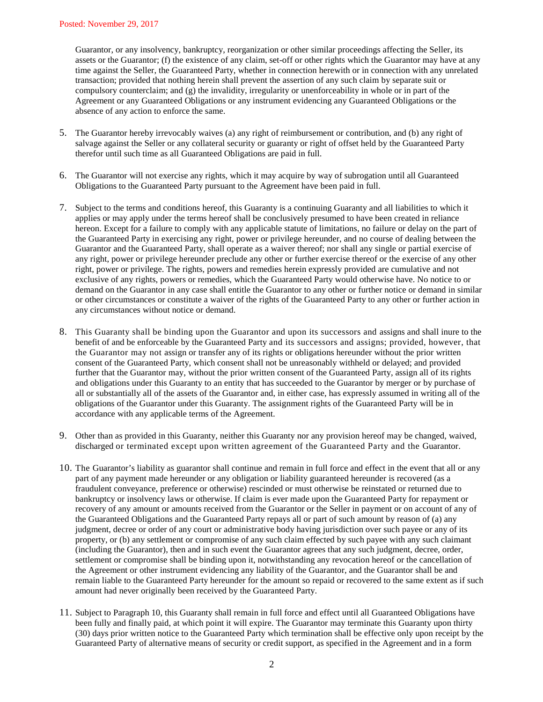Guarantor, or any insolvency, bankruptcy, reorganization or other similar proceedings affecting the Seller, its assets or the Guarantor; (f) the existence of any claim, set-off or other rights which the Guarantor may have at any time against the Seller, the Guaranteed Party, whether in connection herewith or in connection with any unrelated transaction; provided that nothing herein shall prevent the assertion of any such claim by separate suit or compulsory counterclaim; and (g) the invalidity, irregularity or unenforceability in whole or in part of the Agreement or any Guaranteed Obligations or any instrument evidencing any Guaranteed Obligations or the absence of any action to enforce the same.

- 5. The Guarantor hereby irrevocably waives (a) any right of reimbursement or contribution, and (b) any right of salvage against the Seller or any collateral security or guaranty or right of offset held by the Guaranteed Party therefor until such time as all Guaranteed Obligations are paid in full.
- 6. The Guarantor will not exercise any rights, which it may acquire by way of subrogation until all Guaranteed Obligations to the Guaranteed Party pursuant to the Agreement have been paid in full.
- 7. Subject to the terms and conditions hereof, this Guaranty is a continuing Guaranty and all liabilities to which it applies or may apply under the terms hereof shall be conclusively presumed to have been created in reliance hereon. Except for a failure to comply with any applicable statute of limitations, no failure or delay on the part of the Guaranteed Party in exercising any right, power or privilege hereunder, and no course of dealing between the Guarantor and the Guaranteed Party, shall operate as a waiver thereof; nor shall any single or partial exercise of any right, power or privilege hereunder preclude any other or further exercise thereof or the exercise of any other right, power or privilege. The rights, powers and remedies herein expressly provided are cumulative and not exclusive of any rights, powers or remedies, which the Guaranteed Party would otherwise have. No notice to or demand on the Guarantor in any case shall entitle the Guarantor to any other or further notice or demand in similar or other circumstances or constitute a waiver of the rights of the Guaranteed Party to any other or further action in any circumstances without notice or demand.
- 8. This Guaranty shall be binding upon the Guarantor and upon its successors and assigns and shall inure to the benefit of and be enforceable by the Guaranteed Party and its successors and assigns; provided, however, that the Guarantor may not assign or transfer any of its rights or obligations hereunder without the prior written consent of the Guaranteed Party, which consent shall not be unreasonably withheld or delayed; and provided further that the Guarantor may, without the prior written consent of the Guaranteed Party, assign all of its rights and obligations under this Guaranty to an entity that has succeeded to the Guarantor by merger or by purchase of all or substantially all of the assets of the Guarantor and, in either case, has expressly assumed in writing all of the obligations of the Guarantor under this Guaranty. The assignment rights of the Guaranteed Party will be in accordance with any applicable terms of the Agreement.
- 9. Other than as provided in this Guaranty, neither this Guaranty nor any provision hereof may be changed, waived, discharged or terminated except upon written agreement of the Guaranteed Party and the Guarantor.
- 10. The Guarantor's liability as guarantor shall continue and remain in full force and effect in the event that all or any part of any payment made hereunder or any obligation or liability guaranteed hereunder is recovered (as a fraudulent conveyance, preference or otherwise) rescinded or must otherwise be reinstated or returned due to bankruptcy or insolvency laws or otherwise. If claim is ever made upon the Guaranteed Party for repayment or recovery of any amount or amounts received from the Guarantor or the Seller in payment or on account of any of the Guaranteed Obligations and the Guaranteed Party repays all or part of such amount by reason of (a) any judgment, decree or order of any court or administrative body having jurisdiction over such payee or any of its property, or (b) any settlement or compromise of any such claim effected by such payee with any such claimant (including the Guarantor), then and in such event the Guarantor agrees that any such judgment, decree, order, settlement or compromise shall be binding upon it, notwithstanding any revocation hereof or the cancellation of the Agreement or other instrument evidencing any liability of the Guarantor, and the Guarantor shall be and remain liable to the Guaranteed Party hereunder for the amount so repaid or recovered to the same extent as if such amount had never originally been received by the Guaranteed Party.
- 11. Subject to Paragraph 10, this Guaranty shall remain in full force and effect until all Guaranteed Obligations have been fully and finally paid, at which point it will expire. The Guarantor may terminate this Guaranty upon thirty (30) days prior written notice to the Guaranteed Party which termination shall be effective only upon receipt by the Guaranteed Party of alternative means of security or credit support, as specified in the Agreement and in a form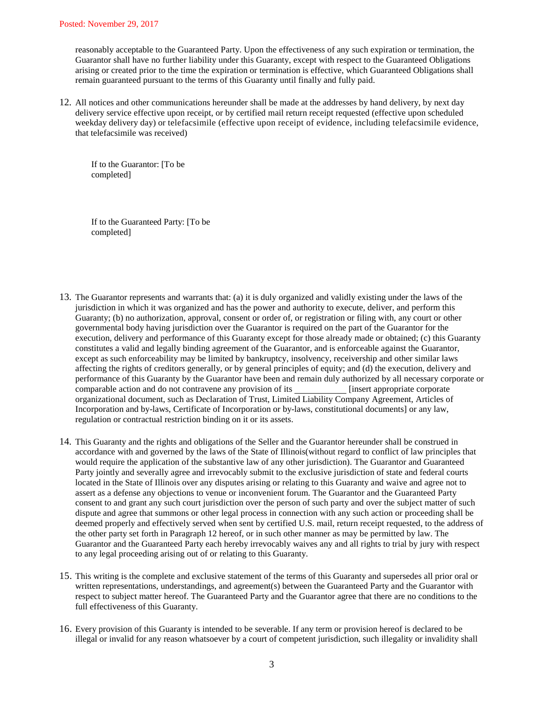reasonably acceptable to the Guaranteed Party. Upon the effectiveness of any such expiration or termination, the Guarantor shall have no further liability under this Guaranty, except with respect to the Guaranteed Obligations arising or created prior to the time the expiration or termination is effective, which Guaranteed Obligations shall remain guaranteed pursuant to the terms of this Guaranty until finally and fully paid.

12. All notices and other communications hereunder shall be made at the addresses by hand delivery, by next day delivery service effective upon receipt, or by certified mail return receipt requested (effective upon scheduled weekday delivery day) or telefacsimile (effective upon receipt of evidence, including telefacsimile evidence, that telefacsimile was received)

If to the Guarantor: [To be completed]

If to the Guaranteed Party: [To be completed]

- 13. The Guarantor represents and warrants that: (a) it is duly organized and validly existing under the laws of the jurisdiction in which it was organized and has the power and authority to execute, deliver, and perform this Guaranty; (b) no authorization, approval, consent or order of, or registration or filing with, any court or other governmental body having jurisdiction over the Guarantor is required on the part of the Guarantor for the execution, delivery and performance of this Guaranty except for those already made or obtained; (c) this Guaranty constitutes a valid and legally binding agreement of the Guarantor, and is enforceable against the Guarantor, except as such enforceability may be limited by bankruptcy, insolvency, receivership and other similar laws affecting the rights of creditors generally, or by general principles of equity; and (d) the execution, delivery and performance of this Guaranty by the Guarantor have been and remain duly authorized by all necessary corporate or<br>comparable action and do not contravene any provision of its \_\_\_\_\_\_\_\_\_\_\_\_\_\_\_\_\_[insert appropriate corporate comparable action and do not contravene any provision of its organizational document, such as Declaration of Trust, Limited Liability Company Agreement, Articles of Incorporation and by-laws, Certificate of Incorporation or by-laws, constitutional documents] or any law, regulation or contractual restriction binding on it or its assets.
- 14. This Guaranty and the rights and obligations of the Seller and the Guarantor hereunder shall be construed in accordance with and governed by the laws of the State of Illinois(without regard to conflict of law principles that would require the application of the substantive law of any other jurisdiction). The Guarantor and Guaranteed Party jointly and severally agree and irrevocably submit to the exclusive jurisdiction of state and federal courts located in the State of Illinois over any disputes arising or relating to this Guaranty and waive and agree not to assert as a defense any objections to venue or inconvenient forum. The Guarantor and the Guaranteed Party consent to and grant any such court jurisdiction over the person of such party and over the subject matter of such dispute and agree that summons or other legal process in connection with any such action or proceeding shall be deemed properly and effectively served when sent by certified U.S. mail, return receipt requested, to the address of the other party set forth in Paragraph 12 hereof, or in such other manner as may be permitted by law. The Guarantor and the Guaranteed Party each hereby irrevocably waives any and all rights to trial by jury with respect to any legal proceeding arising out of or relating to this Guaranty.
- 15. This writing is the complete and exclusive statement of the terms of this Guaranty and supersedes all prior oral or written representations, understandings, and agreement(s) between the Guaranteed Party and the Guarantor with respect to subject matter hereof. The Guaranteed Party and the Guarantor agree that there are no conditions to the full effectiveness of this Guaranty.
- 16. Every provision of this Guaranty is intended to be severable. If any term or provision hereof is declared to be illegal or invalid for any reason whatsoever by a court of competent jurisdiction, such illegality or invalidity shall